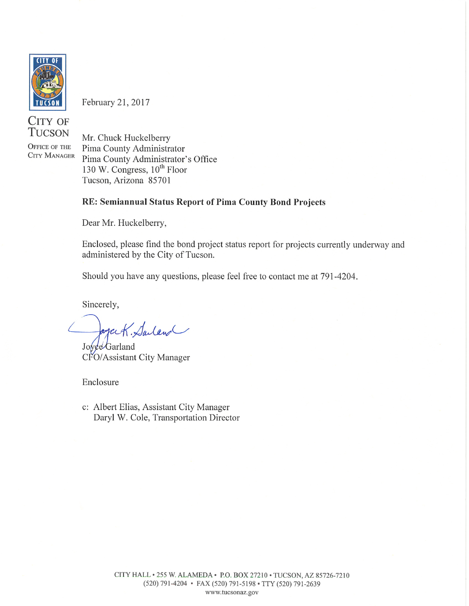

February 21, 2017

CITY OF **TUCSON** 

OFFICE OF THE **CITY MANAGER** 

Mr. Chuck Huckelberry Pima County Administrator Pima County Administrator's Office 130 W. Congress, 10<sup>th</sup> Floor Tucson, Arizona 85701

#### RE: Semiannual Status Report of Pima County Bond Projects

Dear Mr. Huckelberry,

Enclosed, please find the bond project status report for projects currently underway and administered by the City of Tucson.

Should you have any questions, please feel free to contact me at 791-4204.

Sincerely,

ogack. Saland

Joyce Garland CFO/Assistant City Manager

Enclosure

c: Albert Elias, Assistant City Manager Daryl W. Cole, Transportation Director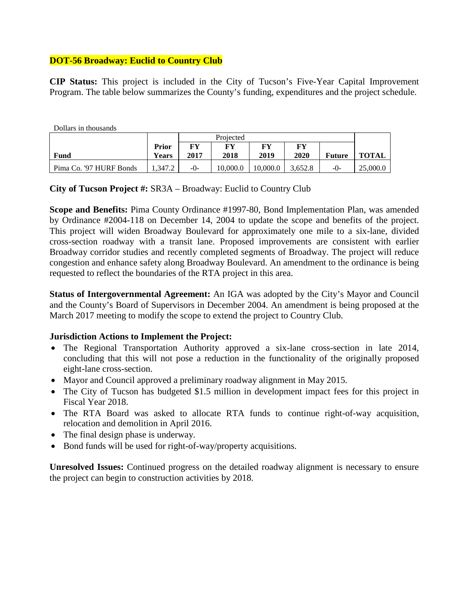## **DOT-56 Broadway: Euclid to Country Club**

**CIP Status:** This project is included in the City of Tucson's Five-Year Capital Improvement Program. The table below summarizes the County's funding, expenditures and the project schedule.

Dollars in thousands

|                         |              | Projected |          |          |         |        |          |
|-------------------------|--------------|-----------|----------|----------|---------|--------|----------|
|                         | Prior        | FY        | FY       | FY       | FY      |        |          |
| Fund                    | <b>Years</b> | 2017      | 2018     | 2019     | 2020    | Future | TOTAL    |
| Pima Co. '97 HURF Bonds | 1.347.2      | $-()$     | 10.000.0 | 10.000.0 | 3.652.8 | $-0-$  | 25,000.0 |

**City of Tucson Project #:** SR3A – Broadway: Euclid to Country Club

**Scope and Benefits:** Pima County Ordinance #1997-80, Bond Implementation Plan, was amended by Ordinance #2004-118 on December 14, 2004 to update the scope and benefits of the project. This project will widen Broadway Boulevard for approximately one mile to a six-lane, divided cross-section roadway with a transit lane. Proposed improvements are consistent with earlier Broadway corridor studies and recently completed segments of Broadway. The project will reduce congestion and enhance safety along Broadway Boulevard. An amendment to the ordinance is being requested to reflect the boundaries of the RTA project in this area.

**Status of Intergovernmental Agreement:** An IGA was adopted by the City's Mayor and Council and the County's Board of Supervisors in December 2004. An amendment is being proposed at the March 2017 meeting to modify the scope to extend the project to Country Club.

#### **Jurisdiction Actions to Implement the Project:**

- The Regional Transportation Authority approved a six-lane cross-section in late 2014, concluding that this will not pose a reduction in the functionality of the originally proposed eight-lane cross-section.
- Mayor and Council approved a preliminary roadway alignment in May 2015.
- The City of Tucson has budgeted \$1.5 million in development impact fees for this project in Fiscal Year 2018.
- The RTA Board was asked to allocate RTA funds to continue right-of-way acquisition, relocation and demolition in April 2016.
- The final design phase is underway.
- Bond funds will be used for right-of-way/property acquisitions.

**Unresolved Issues:** Continued progress on the detailed roadway alignment is necessary to ensure the project can begin to construction activities by 2018.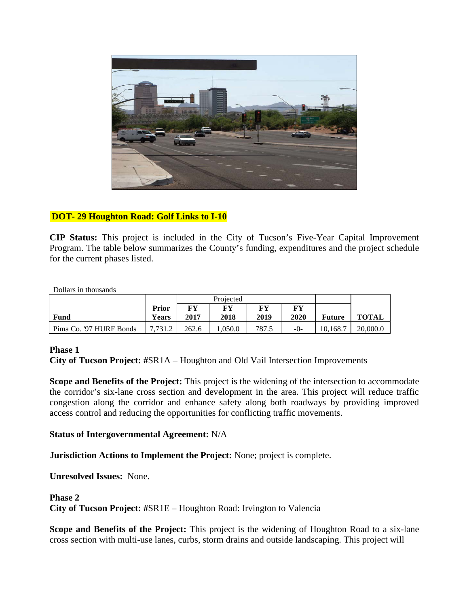

# **DOT- 29 Houghton Road: Golf Links to I-10**

**CIP Status:** This project is included in the City of Tucson's Five-Year Capital Improvement Program. The table below summarizes the County's funding, expenditures and the project schedule for the current phases listed.

Dollars in thousands

|                         |         | Projected |        |       |      |               |              |
|-------------------------|---------|-----------|--------|-------|------|---------------|--------------|
|                         | Prior   | FY        | FY     | FV    | FY   |               |              |
| Fund                    | Years   | 2017      | 2018   | 2019  | 2020 | <b>Future</b> | <b>TOTAL</b> |
| Pima Co. '97 HURF Bonds | 7.731.2 | 262.6     | .050.0 | 787.5 | -0-  | 10.168.7      | 20,000.0     |

#### **Phase 1**

**City of Tucson Project: #**SR1A – Houghton and Old Vail Intersection Improvements

**Scope and Benefits of the Project:** This project is the widening of the intersection to accommodate the corridor's six-lane cross section and development in the area. This project will reduce traffic congestion along the corridor and enhance safety along both roadways by providing improved access control and reducing the opportunities for conflicting traffic movements.

#### **Status of Intergovernmental Agreement:** N/A

**Jurisdiction Actions to Implement the Project:** None; project is complete.

**Unresolved Issues:** None.

#### **Phase 2**

**City of Tucson Project: #**SR1E – Houghton Road: Irvington to Valencia

**Scope and Benefits of the Project:** This project is the widening of Houghton Road to a six-lane cross section with multi-use lanes, curbs, storm drains and outside landscaping. This project will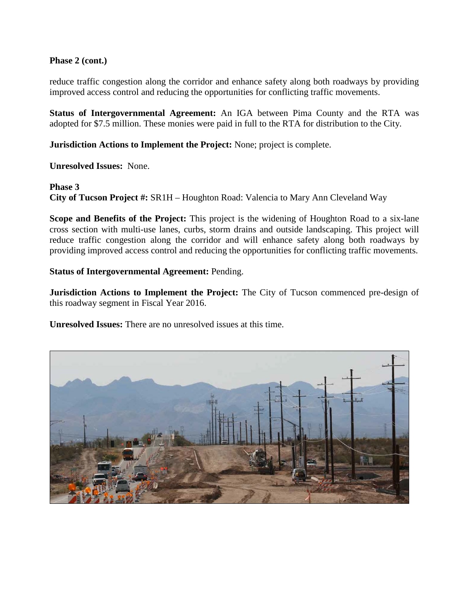## **Phase 2 (cont.)**

reduce traffic congestion along the corridor and enhance safety along both roadways by providing improved access control and reducing the opportunities for conflicting traffic movements.

**Status of Intergovernmental Agreement:** An IGA between Pima County and the RTA was adopted for \$7.5 million. These monies were paid in full to the RTA for distribution to the City.

**Jurisdiction Actions to Implement the Project:** None; project is complete.

**Unresolved Issues:** None.

#### **Phase 3**

**City of Tucson Project #:** SR1H – Houghton Road: Valencia to Mary Ann Cleveland Way

**Scope and Benefits of the Project:** This project is the widening of Houghton Road to a six-lane cross section with multi-use lanes, curbs, storm drains and outside landscaping. This project will reduce traffic congestion along the corridor and will enhance safety along both roadways by providing improved access control and reducing the opportunities for conflicting traffic movements.

#### **Status of Intergovernmental Agreement:** Pending.

**Jurisdiction Actions to Implement the Project:** The City of Tucson commenced pre-design of this roadway segment in Fiscal Year 2016.

**Unresolved Issues:** There are no unresolved issues at this time.

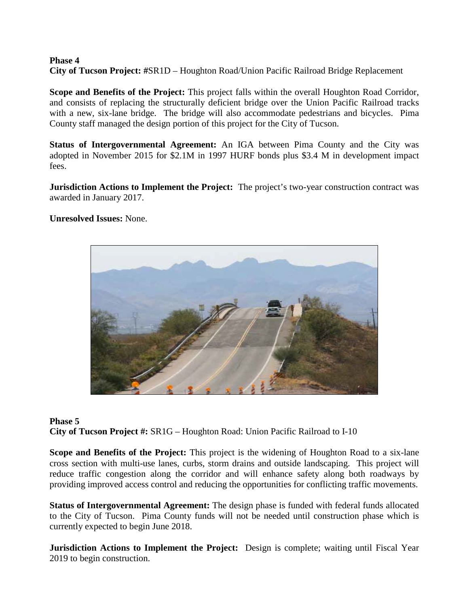#### **Phase 4 City of Tucson Project: #**SR1D – Houghton Road/Union Pacific Railroad Bridge Replacement

**Scope and Benefits of the Project:** This project falls within the overall Houghton Road Corridor, and consists of replacing the structurally deficient bridge over the Union Pacific Railroad tracks with a new, six-lane bridge. The bridge will also accommodate pedestrians and bicycles. Pima County staff managed the design portion of this project for the City of Tucson.

**Status of Intergovernmental Agreement:** An IGA between Pima County and the City was adopted in November 2015 for \$2.1M in 1997 HURF bonds plus \$3.4 M in development impact fees.

**Jurisdiction Actions to Implement the Project:** The project's two-year construction contract was awarded in January 2017.

## **Unresolved Issues:** None.



#### **Phase 5**

**City of Tucson Project #:** SR1G – Houghton Road: Union Pacific Railroad to I-10

**Scope and Benefits of the Project:** This project is the widening of Houghton Road to a six-lane cross section with multi-use lanes, curbs, storm drains and outside landscaping. This project will reduce traffic congestion along the corridor and will enhance safety along both roadways by providing improved access control and reducing the opportunities for conflicting traffic movements.

**Status of Intergovernmental Agreement:** The design phase is funded with federal funds allocated to the City of Tucson. Pima County funds will not be needed until construction phase which is currently expected to begin June 2018.

**Jurisdiction Actions to Implement the Project:** Design is complete; waiting until Fiscal Year 2019 to begin construction.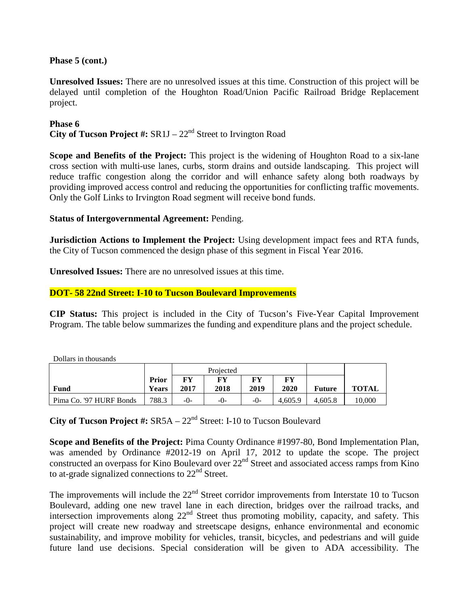## **Phase 5 (cont.)**

**Unresolved Issues:** There are no unresolved issues at this time. Construction of this project will be delayed until completion of the Houghton Road/Union Pacific Railroad Bridge Replacement project.

#### **Phase 6**

**City of Tucson Project #:** SR1J – 22nd Street to Irvington Road

**Scope and Benefits of the Project:** This project is the widening of Houghton Road to a six-lane cross section with multi-use lanes, curbs, storm drains and outside landscaping. This project will reduce traffic congestion along the corridor and will enhance safety along both roadways by providing improved access control and reducing the opportunities for conflicting traffic movements. Only the Golf Links to Irvington Road segment will receive bond funds.

## **Status of Intergovernmental Agreement:** Pending.

**Jurisdiction Actions to Implement the Project:** Using development impact fees and RTA funds, the City of Tucson commenced the design phase of this segment in Fiscal Year 2016.

**Unresolved Issues:** There are no unresolved issues at this time.

## **DOT- 58 22nd Street: I-10 to Tucson Boulevard Improvements**

**CIP Status:** This project is included in the City of Tucson's Five-Year Capital Improvement Program. The table below summarizes the funding and expenditure plans and the project schedule.

Dollars in thousands

|                         |                       | Projected  |            |            |            |               |              |
|-------------------------|-----------------------|------------|------------|------------|------------|---------------|--------------|
| Fund                    | Prior<br><b>Years</b> | FY<br>2017 | FY<br>2018 | FY<br>2019 | FY<br>2020 | <b>Future</b> | <b>TOTAL</b> |
|                         |                       |            |            |            |            |               |              |
| Pima Co. '97 HURF Bonds | 788.3                 | $-()$      | $-()$      | $-()$      | 4.605.9    | 4.605.8       | 10,000       |

**City of Tucson Project #:**  $SRSA - 22<sup>nd</sup>$  Street: I-10 to Tucson Boulevard

**Scope and Benefits of the Project:** Pima County Ordinance #1997-80, Bond Implementation Plan, was amended by Ordinance #2012-19 on April 17, 2012 to update the scope. The project constructed an overpass for Kino Boulevard over  $22<sup>nd</sup>$  Street and associated access ramps from Kino to at-grade signalized connections to  $22<sup>nd</sup>$  Street.

The improvements will include the 22<sup>nd</sup> Street corridor improvements from Interstate 10 to Tucson Boulevard, adding one new travel lane in each direction, bridges over the railroad tracks, and intersection improvements along 22<sup>nd</sup> Street thus promoting mobility, capacity, and safety. This project will create new roadway and streetscape designs, enhance environmental and economic sustainability, and improve mobility for vehicles, transit, bicycles, and pedestrians and will guide future land use decisions. Special consideration will be given to ADA accessibility. The